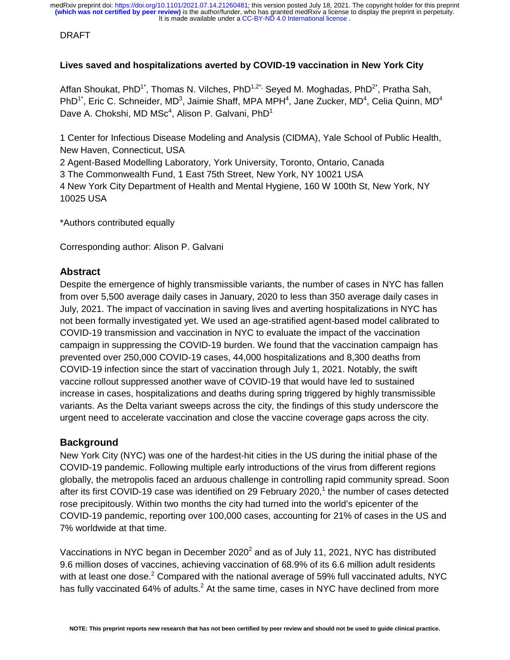### DRAFT

## **Lives saved and hospitalizations averted by COVID-19 vaccination in New York City**

Affan Shoukat, PhD<sup>1\*</sup>, Thomas N. Vilches, PhD<sup>1,2\*,</sup> Seyed M. Moghadas, PhD<sup>2\*</sup>, Pratha Sah, PhD<sup>1\*</sup>, Eric C. Schneider, MD<sup>3</sup>, Jaimie Shaff, MPA MPH<sup>4</sup>, Jane Zucker, MD<sup>4</sup>, Celia Quinn, MD<sup>4</sup> Dave A. Chokshi, MD MS $c<sup>4</sup>$ , Alison P. Galvani, PhD<sup>1</sup>

1 Center for Infectious Disease Modeling and Analysis (CIDMA), Yale School of Public Health, New Haven, Connecticut, USA

2 Agent-Based Modelling Laboratory, York University, Toronto, Ontario, Canada 3 The Commonwealth Fund, 1 East 75th Street, New York, NY 10021 USA 4 New York City Department of Health and Mental Hygiene, 160 W 100th St, New York, NY 10025 USA

\*Authors contributed equally

Corresponding author: Alison P. Galvani

# **Abstract**

Despite the emergence of highly transmissible variants, the number of cases in NYC has fallen from over 5,500 average daily cases in January, 2020 to less than 350 average daily cases in July, 2021. The impact of vaccination in saving lives and averting hospitalizations in NYC has not been formally investigated yet. We used an age-stratified agent-based model calibrated to COVID-19 transmission and vaccination in NYC to evaluate the impact of the vaccination campaign in suppressing the COVID-19 burden. We found that the vaccination campaign has prevented over 250,000 COVID-19 cases, 44,000 hospitalizations and 8,300 deaths from COVID-19 infection since the start of vaccination through July 1, 2021. Notably, the swift vaccine rollout suppressed another wave of COVID-19 that would have led to sustained increase in cases, hospitalizations and deaths during spring triggered by highly transmissible variants. As the Delta variant sweeps across the city, the findings of this study underscore the urgent need to accelerate vaccination and close the vaccine coverage gaps across the city.

# **Background**

New York City (NYC) was one of the hardest-hit cities in the US during the initial phase of the COVID-19 pandemic. Following multiple early introductions of the virus from different regions globally, the metropolis faced an arduous challenge in controlling rapid community spread. Soon after its first COVID-19 case was identified on 29 February 2020,<sup>1</sup> the number of cases detected rose precipitously. Within two months the city had turned into the world's epicenter of the COVID-19 pandemic, reporting over 100,000 cases, accounting for 21% of cases in the US and 7% worldwide at that time.

Vaccinations in NYC began in December 2020 $^2$  and as of July 11, 2021, NYC has distributed 9.6 million doses of vaccines, achieving vaccination of 68.9% of its 6.6 million adult residents with at least one dose.<sup>2</sup> Compared with the national average of 59% full vaccinated adults, NYC has fully vaccinated 64% of adults.<sup>2</sup> At the same time, cases in NYC have declined from more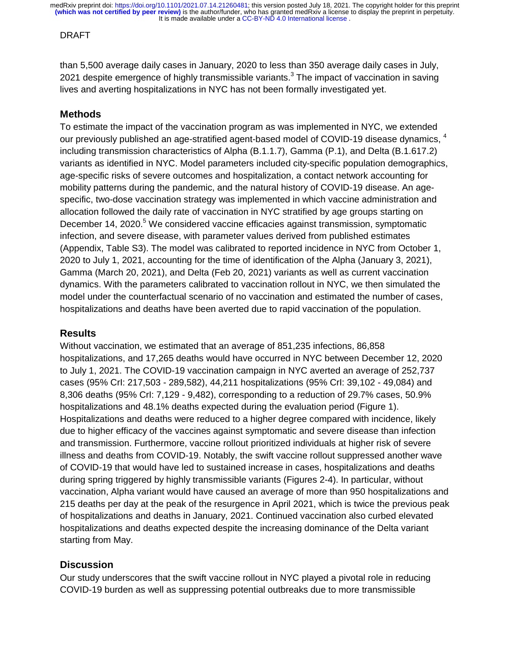### DRAFT

than 5,500 average daily cases in January, 2020 to less than 350 average daily cases in July, 2021 despite emergence of highly transmissible variants.<sup>3</sup> The impact of vaccination in saving lives and averting hospitalizations in NYC has not been formally investigated yet.

# **Methods**

To estimate the impact of the vaccination program as was implemented in NYC, we extended our previously published an age-stratified agent-based model of COVID-19 disease dynamics, <sup>4</sup> including transmission characteristics of Alpha (B.1.1.7), Gamma (P.1), and Delta (B.1.617.2) variants as identified in NYC. Model parameters included city-specific population demographics, age-specific risks of severe outcomes and hospitalization, a contact network accounting for mobility patterns during the pandemic, and the natural history of COVID-19 disease. An agespecific, two-dose vaccination strategy was implemented in which vaccine administration and allocation followed the daily rate of vaccination in NYC stratified by age groups starting on December 14, 2020.<sup>5</sup> We considered vaccine efficacies against transmission, symptomatic infection, and severe disease, with parameter values derived from published estimates (Appendix, Table S3). The model was calibrated to reported incidence in NYC from October 1, 2020 to July 1, 2021, accounting for the time of identification of the Alpha (January 3, 2021), Gamma (March 20, 2021), and Delta (Feb 20, 2021) variants as well as current vaccination dynamics. With the parameters calibrated to vaccination rollout in NYC, we then simulated the model under the counterfactual scenario of no vaccination and estimated the number of cases, hospitalizations and deaths have been averted due to rapid vaccination of the population.

## **Results**

Without vaccination, we estimated that an average of 851,235 infections, 86,858 hospitalizations, and 17,265 deaths would have occurred in NYC between December 12, 2020 to July 1, 2021. The COVID-19 vaccination campaign in NYC averted an average of 252,737 cases (95% CrI: 217,503 - 289,582), 44,211 hospitalizations (95% CrI: 39,102 - 49,084) and 8,306 deaths (95% CrI: 7,129 - 9,482), corresponding to a reduction of 29.7% cases, 50.9% hospitalizations and 48.1% deaths expected during the evaluation period (Figure 1). Hospitalizations and deaths were reduced to a higher degree compared with incidence, likely due to higher efficacy of the vaccines against symptomatic and severe disease than infection and transmission. Furthermore, vaccine rollout prioritized individuals at higher risk of severe illness and deaths from COVID-19. Notably, the swift vaccine rollout suppressed another wave of COVID-19 that would have led to sustained increase in cases, hospitalizations and deaths during spring triggered by highly transmissible variants (Figures 2-4). In particular, without vaccination, Alpha variant would have caused an average of more than 950 hospitalizations and 215 deaths per day at the peak of the resurgence in April 2021, which is twice the previous peak of hospitalizations and deaths in January, 2021. Continued vaccination also curbed elevated hospitalizations and deaths expected despite the increasing dominance of the Delta variant starting from May.

# **Discussion**

Our study underscores that the swift vaccine rollout in NYC played a pivotal role in reducing COVID-19 burden as well as suppressing potential outbreaks due to more transmissible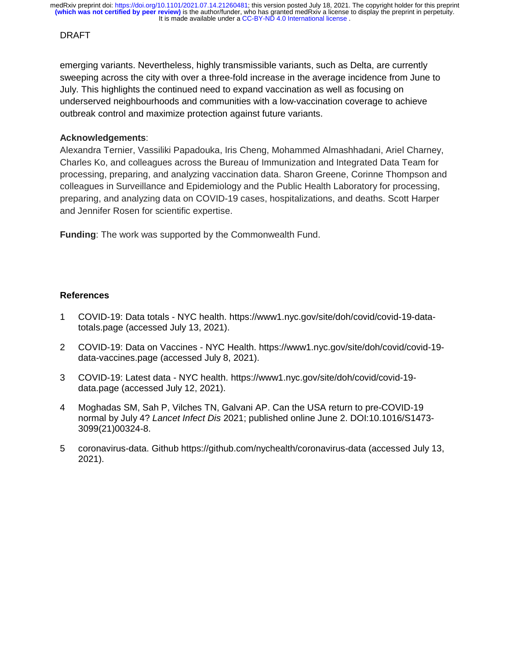### DRAFT

emerging variants. Nevertheless, highly transmissible variants, such as Delta, are currently sweeping across the city with over a three-fold increase in the average incidence from June to July. This highlights the continued need to expand vaccination as well as focusing on underserved neighbourhoods and communities with a low-vaccination coverage to achieve outbreak control and maximize protection against future variants.

## **Acknowledgements**:

Alexandra Ternier, Vassiliki Papadouka, Iris Cheng, Mohammed Almashhadani, Ariel Charney, Charles Ko, and colleagues across the Bureau of Immunization and Integrated Data Team for processing, preparing, and analyzing vaccination data. Sharon Greene, Corinne Thompson and colleagues in Surveillance and Epidemiology and the Public Health Laboratory for processing, preparing, and analyzing data on COVID-19 cases, hospitalizations, and deaths. Scott Harper and Jennifer Rosen for scientific expertise.

**Funding**: The work was supported by the Commonwealth Fund.

### **References**

- 1 COVID-19: Data totals NYC health. https://www1.nyc.gov/site/doh/covid/covid-19-datatotals.page (accessed July 13, 2021).
- 2 COVID-19: Data on Vaccines NYC Health. https://www1.nyc.gov/site/doh/covid/covid-19 data-vaccines.page (accessed July 8, 2021).
- 3 COVID-19: Latest data NYC health. https://www1.nyc.gov/site/doh/covid/covid-19 data.page (accessed July 12, 2021).
- 4 Moghadas SM, Sah P, Vilches TN, Galvani AP. Can the USA return to pre-COVID-19 normal by July 4? *Lancet Infect Dis* 2021; published online June 2. DOI:10.1016/S1473- 3099(21)00324-8.
- 5 coronavirus-data. Github https://github.com/nychealth/coronavirus-data (accessed July 13, 2021).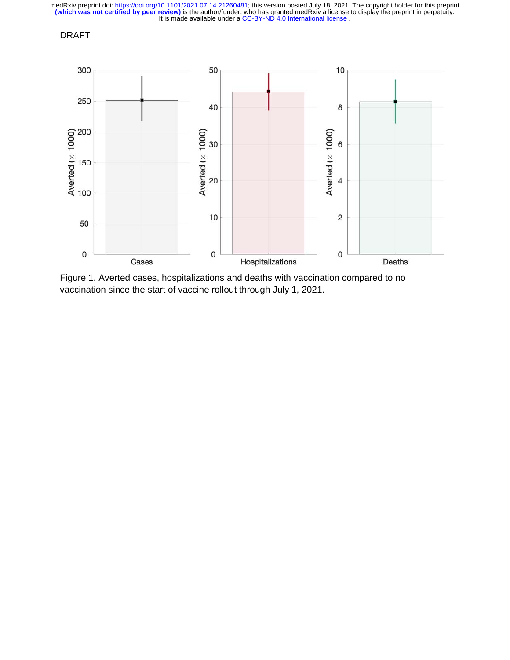## DRAFT



Figure 1. Averted cases, hospitalizations and deaths with vaccination compared to no vaccination since the start of vaccine rollout through July 1, 2021.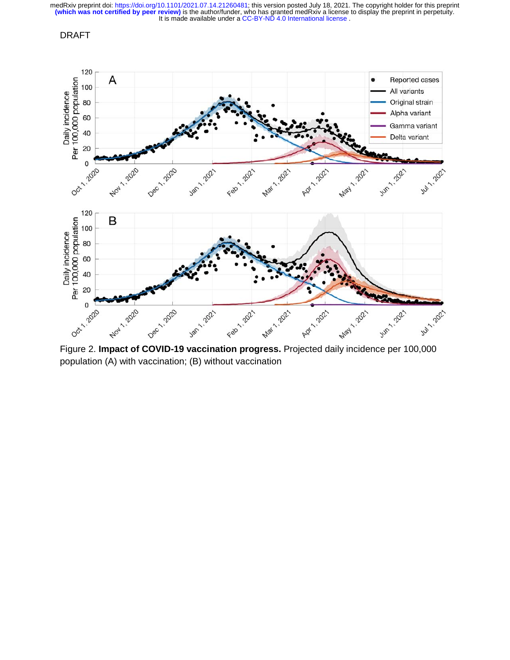### DRAFT



population (A) with vaccination; (B) without vaccination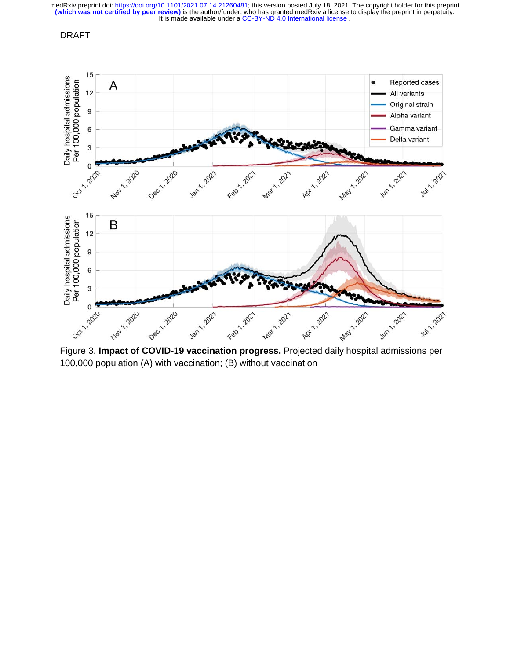#### DRAFT



100,000 population (A) with vaccination; (B) without vaccination